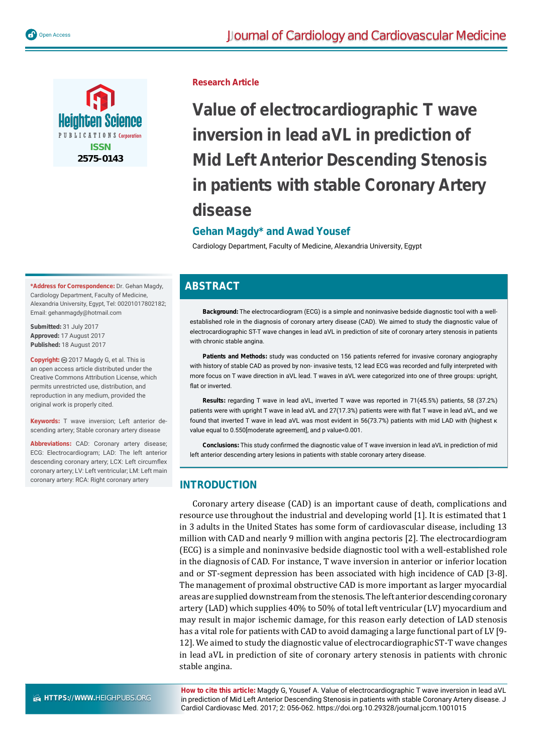

**Research Article**

**Value of electrocardiographic T wave inversion in lead aVL in prediction of Mid Left Anterior Descending Stenosis in patients with stable Coronary Artery disease**

## **Gehan Magdy\* and Awad Yousef**

Cardiology Department, Faculty of Medicine, Alexandria University, Egypt

**\*Address for Correspondence:** Dr. Gehan Magdy, Cardiology Department, Faculty of Medicine, Alexandria University, Egypt, Tel: 00201017802182; Email: gehanmagdy@hotmail.com

**Submitted:** 31 July 2017 **Approved:** 17 August 2017 **Published:** 18 August 2017

Copyright: @ 2017 Magdy G, et al. This is an open access article distributed under the Creative Commons Attribution License, which permits unrestricted use, distribution, and reproduction in any medium, provided the original work is properly cited.

**Keywords:** T wave inversion; Left anterior descending artery; Stable coronary artery disease

**Abbreviations:** CAD: Coronary artery disease; ECG: Electrocardiogram; LAD: The left anterior descending coronary artery; LCX: Left circumflex coronary artery; LV: Left ventricular; LM: Left main coronary artery: RCA: Right coronary artery

# **ABSTRACT**

**Background:** The electrocardiogram (ECG) is a simple and noninvasive bedside diagnostic tool with a wellestablished role in the diagnosis of coronary artery disease (CAD). We aimed to study the diagnostic value of electrocardiographic ST-T wave changes in lead aVL in prediction of site of coronary artery stenosis in patients with chronic stable angina.

**Patients and Methods:** study was conducted on 156 patients referred for invasive coronary angiography with history of stable CAD as proved by non- invasive tests, 12 lead ECG was recorded and fully interpreted with more focus on T wave direction in aVL lead. T waves in aVL were categorized into one of three groups: upright, flat or inverted

**Results:** regarding T wave in lead aVL, inverted T wave was reported in 71(45.5%) patients, 58 (37.2%) patients were with upright T wave in lead aVL and 27(17.3%) patients were with flat T wave in lead aVL, and we found that inverted T wave in lead aVL was most evident in 56(73.7%) patients with mid LAD with (highest κ value equal to 0.550[moderate agreement], and p value<0.001.

Conclusions: This study confirmed the diagnostic value of T wave inversion in lead aVL in prediction of mid left anterior descending artery lesions in patients with stable coronary artery disease.

## **INTRODUCTION**

Coronary artery disease (CAD) is an important cause of death, complications and resource use throughout the industrial and developing world [1]. It is estimated that 1 in 3 adults in the United States has some form of cardiovascular disease, including 13 million with CAD and nearly 9 million with angina pectoris [2]. The electrocardiogram (ECG) is a simple and noninvasive bedside diagnostic tool with a well-established role in the diagnosis of CAD. For instance, T wave inversion in anterior or inferior location and or ST-segment depression has been associated with high incidence of CAD [3-8]. The management of proximal obstructive CAD is more important as larger myocardial areas are supplied downstream from the stenosis. The left anterior descending coronary artery (LAD) which supplies 40% to 50% of total left ventricular (LV) myocardium and may result in major ischemic damage, for this reason early detection of LAD stenosis has a vital role for patients with CAD to avoid damaging a large functional part of LV [9- 12]. We aimed to study the diagnostic value of electrocardiographic ST-T wave changes in lead aVL in prediction of site of coronary artery stenosis in patients with chronic stable angina.

**How to cite this article:** Magdy G, Yousef A. Value of electrocardiographic T wave inversion in lead aVL in prediction of Mid Left Anterior Descending Stenosis in patients with stable Coronary Artery disease. J Cardiol Cardiovasc Med. 2017; 2: 056-062. https://doi.org.10.29328/journal.jccm.1001015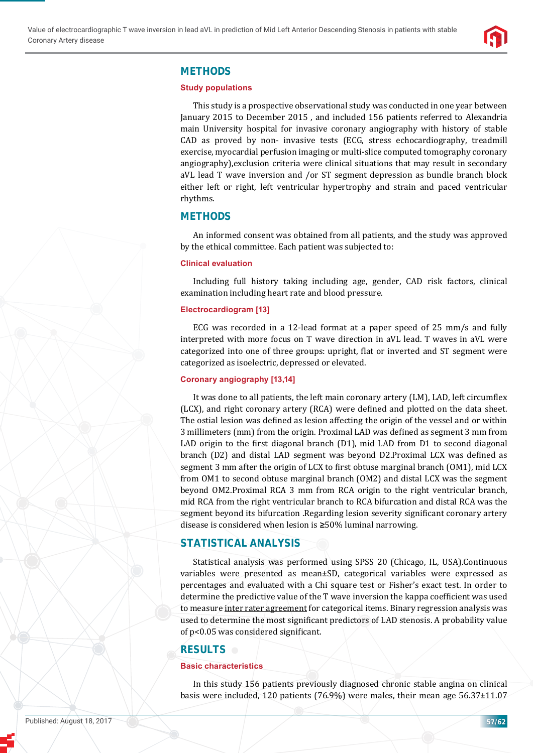

### **METHODS**

#### **Study populations**

This study is a prospective observational study was conducted in one year between January 2015 to December 2015 , and included 156 patients referred to Alexandria main University hospital for invasive coronary angiography with history of stable CAD as proved by non- invasive tests (ECG, stress echocardiography, treadmill exercise, myocardial perfusion imaging or multi-slice computed tomography coronary angiography),exclusion criteria were clinical situations that may result in secondary aVL lead T wave inversion and /or ST segment depression as bundle branch block either left or right, left ventricular hypertrophy and strain and paced ventricular rhythms.

### **METHODS**

An informed consent was obtained from all patients, and the study was approved by the ethical committee. Each patient was subjected to:

### **Clinical evaluation**

Including full history taking including age, gender, CAD risk factors, clinical examination including heart rate and blood pressure.

### **Electrocardiogram [13]**

ECG was recorded in a 12-lead format at a paper speed of 25 mm/s and fully interpreted with more focus on T wave direction in aVL lead. T waves in aVL were categorized into one of three groups: upright, ϐlat or inverted and ST segment were categorized as isoelectric, depressed or elevated.

### **Coronary angiography [13,14]**

It was done to all patients, the left main coronary artery (LM), LAD, left circumflex (LCX), and right coronary artery (RCA) were defined and plotted on the data sheet. The ostial lesion was defined as lesion affecting the origin of the vessel and or within 3 millimeters (mm) from the origin. Proximal LAD was defined as segment 3 mm from LAD origin to the first diagonal branch  $(D1)$ , mid LAD from D1 to second diagonal branch (D2) and distal LAD segment was beyond D2.Proximal LCX was defined as segment 3 mm after the origin of LCX to first obtuse marginal branch (OM1), mid LCX from OM1 to second obtuse marginal branch (OM2) and distal LCX was the segment beyond OM2.Proximal RCA 3 mm from RCA origin to the right ventricular branch, mid RCA from the right ventricular branch to RCA bifurcation and distal RCA was the segment beyond its bifurcation .Regarding lesion severity significant coronary artery disease is considered when lesion is **≥**50% luminal narrowing.

## **STATISTICAL ANALYSIS**

Statistical analysis was performed using SPSS 20 (Chicago, IL, USA).Continuous variables were presented as mean±SD, categorical variables were expressed as percentages and evaluated with a Chi square test or Fisher's exact test. In order to determine the predictive value of the T wave inversion the kappa coefficient was used to measure inter rater agreement for categorical items. Binary regression analysis was used to determine the most significant predictors of LAD stenosis. A probability value of p<0.05 was considered significant.

## **RESULTS**

### **Basic characteristics**

In this study 156 patients previously diagnosed chronic stable angina on clinical basis were included, 120 patients (76.9%) were males, their mean age 56.37±11.07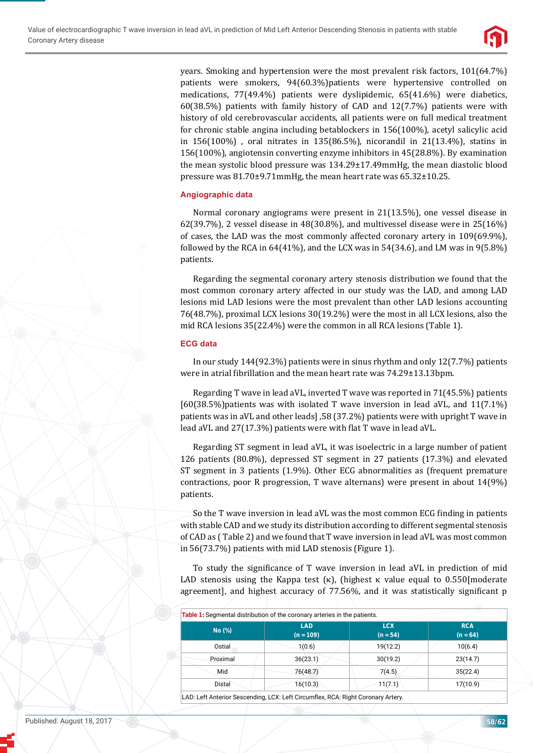

years. Smoking and hypertension were the most prevalent risk factors, 101(64.7%) patients were smokers, 94(60.3%)patients were hypertensive controlled on medications, 77(49.4%) patients were dyslipidemic, 65(41.6%) were diabetics, 60(38.5%) patients with family history of CAD and 12(7.7%) patients were with history of old cerebrovascular accidents, all patients were on full medical treatment for chronic stable angina including betablockers in 156(100%), acetyl salicylic acid in 156(100%) , oral nitrates in 135(86.5%), nicorandil in 21(13.4%), statins in 156(100%), angiotensin converting enzyme inhibitors in 45(28.8%). By examination the mean systolic blood pressure was 134.29±17.49mmHg, the mean diastolic blood pressure was 81.70±9.71mmHg, the mean heart rate was 65.32±10.25.

#### **Angiographic data**

Normal coronary angiograms were present in 21(13.5%), one vessel disease in  $62(39.7%)$ , 2 vessel disease in  $48(30.8%)$ , and multivessel disease were in  $25(16%)$ of cases, the LAD was the most commonly affected coronary artery in 109(69.9%), followed by the RCA in  $64(41\%)$ , and the LCX was in 54(34.6), and LM was in 9(5.8%) patients.

Regarding the segmental coronary artery stenosis distribution we found that the most common coronary artery affected in our study was the LAD, and among LAD lesions mid LAD lesions were the most prevalent than other LAD lesions accounting 76(48.7%), proximal LCX lesions 30(19.2%) were the most in all LCX lesions, also the mid RCA lesions 35(22.4%) were the common in all RCA lesions (Table 1).

#### **ECG data**

In our study 144(92.3%) patients were in sinus rhythm and only 12(7.7%) patients were in atrial fibrillation and the mean heart rate was  $74.29\pm13.13$ bpm.

Regarding T wave in lead aVL, inverted T wave was reported in 71(45.5%) patients [60(38.5%)patients was with isolated T wave inversion in lead aVL, and 11(7.1%) patients was in aVL and other leads] ,58 (37.2%) patients were with upright T wave in lead aVL and 27(17.3%) patients were with flat T wave in lead aVL.

Regarding ST segment in lead aVL, it was isoelectric in a large number of patient 126 patients (80.8%), depressed ST segment in 27 patients (17.3%) and elevated ST segment in 3 patients (1.9%). Other ECG abnormalities as (frequent premature contractions, poor R progression, T wave alternans) were present in about 14(9%) patients.

So the T wave inversion in lead aVL was the most common ECG finding in patients with stable CAD and we study its distribution according to different segmental stenosis of CAD as ( Table 2) and we found that T wave inversion in lead aVL was most common in 56(73.7%) patients with mid LAD stenosis (Figure 1).

To study the significance of T wave inversion in lead aVL in prediction of mid LAD stenosis using the Kappa test (κ), (highest κ value equal to 0.550[moderate agreement], and highest accuracy of  $77.56\%$ , and it was statistically significant p

| No (%)        | <b>LAD</b><br>$(n = 109)$ | <b>LCX</b><br>$(n = 54)$ | <b>RCA</b><br>$(n = 64)$ |
|---------------|---------------------------|--------------------------|--------------------------|
| Ostial        | 1(0.6)                    | 19(12.2)                 | 10(6.4)                  |
| Proximal      | 36(23.1)                  | 30(19.2)                 | 23(14.7)                 |
| Mid           | 76(48.7)                  | 7(4.5)                   | 35(22.4)                 |
| <b>Distal</b> | 16(10.3)                  | 11(7.1)                  | 17(10.9)                 |

Sescending, LCX: Left Circumflex, RCA: Right Coronary Artery.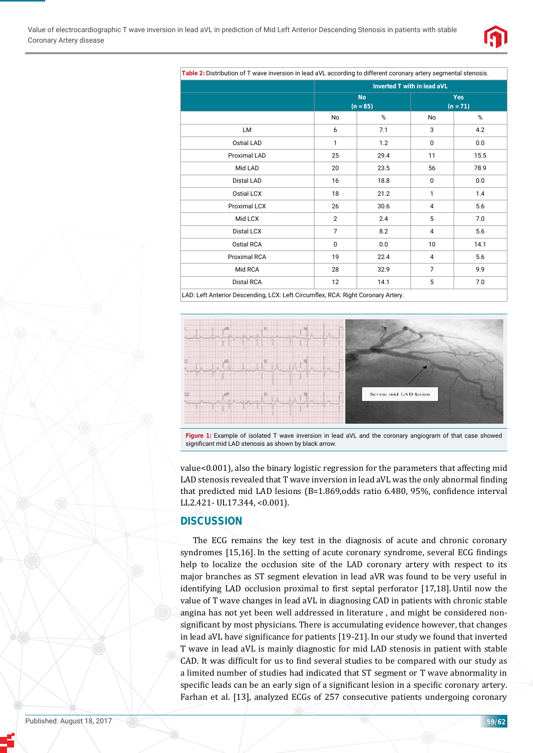

| Table 2: Distribution of T wave inversion in lead aVL according to different coronary artery segmental stenosis. |                             |                         |                |                          |  |  |
|------------------------------------------------------------------------------------------------------------------|-----------------------------|-------------------------|----------------|--------------------------|--|--|
|                                                                                                                  | Inverted T with in lead aVL |                         |                |                          |  |  |
|                                                                                                                  |                             | <b>No</b><br>$(n = 85)$ |                | <b>Yes</b><br>$(n = 71)$ |  |  |
|                                                                                                                  | <b>No</b>                   | %                       | No             | %                        |  |  |
| LM                                                                                                               | 6                           | 7.1                     | 3              | 4.2                      |  |  |
| Ostial LAD                                                                                                       | 1                           | 1.2                     | $\mathbf 0$    | 0.0                      |  |  |
| Proximal LAD                                                                                                     | 25                          | 29.4                    | 11             | 15.5                     |  |  |
| Mid LAD                                                                                                          | 20                          | 23.5                    | 56             | 78.9                     |  |  |
| Distal LAD                                                                                                       | 16                          | 18.8                    | $\mathbf 0$    | 0.0                      |  |  |
| Ostial LCX                                                                                                       | 18                          | 21.2                    | 1              | 1.4                      |  |  |
| Proximal LCX                                                                                                     | 26                          | 30.6                    | 4              | 5.6                      |  |  |
| Mid LCX                                                                                                          | $\overline{2}$              | 2.4                     | 5              | 7.0                      |  |  |
| Distal LCX                                                                                                       | $\overline{7}$              | 8.2                     | 4              | 5.6                      |  |  |
| Ostial RCA                                                                                                       | $\mathbf 0$                 | 0.0                     | 10             | 14.1                     |  |  |
| Proximal RCA                                                                                                     | 19                          | 22.4                    | 4              | 5.6                      |  |  |
| Mid RCA                                                                                                          | 28                          | 32.9                    | $\overline{7}$ | 9.9                      |  |  |
| Distal RCA                                                                                                       | 12                          | 14.1                    | 5              | 7.0                      |  |  |

LAD: Left Anterior Descending, LCX: Left Circumflex, RCA: Right Coronary Artery.



**Figure 1:** Example of isolated T wave inversion in lead aVL and the coronary angiogram of that case showed significant mid LAD stenosis as shown by black arrow.

value<0.001), also the binary logistic regression for the parameters that affecting mid LAD stenosis revealed that  $T$  wave inversion in lead aVL was the only abnormal finding that predicted mid LAD lesions (B=1.869,odds ratio 6.480, 95%, confidence interval LL2.421- UL17.344, <0.001).

### **DISCUSSION**

The ECG remains the key test in the diagnosis of acute and chronic coronary syndromes [15,16]. In the setting of acute coronary syndrome, several ECG findings help to localize the occlusion site of the LAD coronary artery with respect to its major branches as ST segment elevation in lead aVR was found to be very useful in identifying LAD occlusion proximal to first septal perforator [17,18]. Until now the value of T wave changes in lead aVL in diagnosing CAD in patients with chronic stable angina has not yet been well addressed in literature , and might be considered nonsignificant by most physicians. There is accumulating evidence however, that changes in lead aVL have significance for patients  $[19-21]$ . In our study we found that inverted T wave in lead aVL is mainly diagnostic for mid LAD stenosis in patient with stable CAD. It was difficult for us to find several studies to be compared with our study as a limited number of studies had indicated that ST segment or T wave abnormality in specific leads can be an early sign of a significant lesion in a specific coronary artery. Farhan et al. [13], analyzed ECGs of 257 consecutive patients undergoing coronary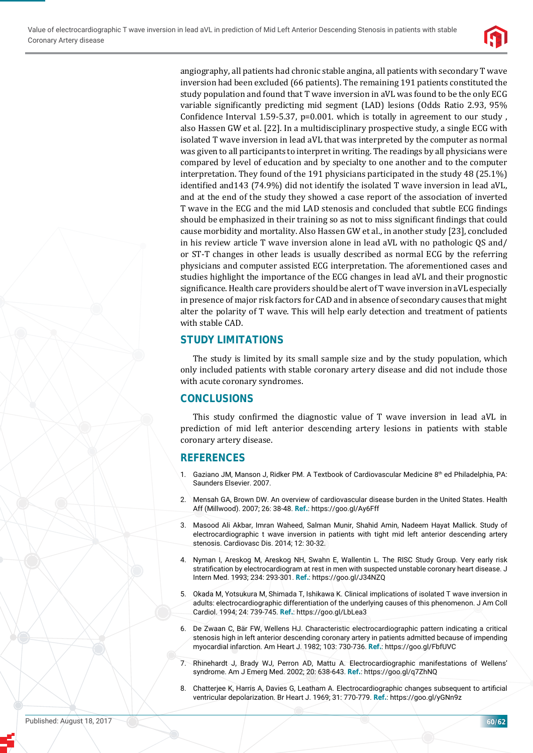

angiography, all patients had chronic stable angina, all patients with secondary T wave inversion had been excluded (66 patients). The remaining 191 patients constituted the study population and found that T wave inversion in aVL was found to be the only ECG variable significantly predicting mid segment (LAD) lesions (Odds Ratio 2.93, 95% Confidence Interval 1.59-5.37,  $p=0.001$ . which is totally in agreement to our study, also Hassen GW et al. [22]. In a multidisciplinary prospective study, a single ECG with isolated T wave inversion in lead aVL that was interpreted by the computer as normal was given to all participants to interpret in writing. The readings by all physicians were compared by level of education and by specialty to one another and to the computer interpretation. They found of the 191 physicians participated in the study 48 (25.1%) identified and  $143$  (74.9%) did not identify the isolated T wave inversion in lead aVL, and at the end of the study they showed a case report of the association of inverted T wave in the ECG and the mid LAD stenosis and concluded that subtle ECG findings should be emphasized in their training so as not to miss significant findings that could cause morbidity and mortality. Also Hassen GW et al., in another study [23], concluded in his review article T wave inversion alone in lead aVL with no pathologic QS and/ or ST-T changes in other leads is usually described as normal ECG by the referring physicians and computer assisted ECG interpretation. The aforementioned cases and studies highlight the importance of the ECG changes in lead aVL and their prognostic significance. Health care providers should be alert of T wave inversion in aVL especially in presence of major risk factors for CAD and in absence of secondary causes that might alter the polarity of T wave. This will help early detection and treatment of patients with stable CAD.

### **STUDY LIMITATIONS**

The study is limited by its small sample size and by the study population, which only included patients with stable coronary artery disease and did not include those with acute coronary syndromes.

### **CONCLUSIONS**

This study confirmed the diagnostic value of T wave inversion in lead aVL in prediction of mid left anterior descending artery lesions in patients with stable coronary artery disease.

## **REFERENCES**

- 1. Gaziano JM, Manson J, Ridker PM. A Textbook of Cardiovascular Medicine 8<sup>th</sup> ed Philadelphia, PA: Saunders Elsevier. 2007.
- 2. Mensah GA, Brown DW. An overview of cardiovascular disease burden in the United States. Health Aff (Millwood). 2007; 26: 38-48. **Ref.**: https://goo.gl/Ay6Fff
- 3. Masood Ali Akbar, Imran Waheed, Salman Munir, Shahid Amin, Nadeem Hayat Mallick. Study of electrocardiographic t wave inversion in patients with tight mid left anterior descending artery stenosis. Cardiovasc Dis. 2014; 12: 30-32.
- 4. Nyman I, Areskog M, Areskog NH, Swahn E, Wallentin L. The RISC Study Group. Very early risk stratification by electrocardiogram at rest in men with suspected unstable coronary heart disease. J Intern Med. 1993; 234: 293-301. **Ref.**: https://goo.gl/J34NZQ
- 5. Okada M, Yotsukura M, Shimada T, Ishikawa K. Clinical implications of isolated T wave inversion in adults: electrocardiographic differentiation of the underlying causes of this phenomenon. J Am Coll Cardiol. 1994; 24: 739-745. **Ref.**: https://goo.gl/LbLea3
- 6. De Zwaan C, Bär FW, Wellens HJ. Characteristic electrocardiographic pattern indicating a critical stenosis high in left anterior descending coronary artery in patients admitted because of impending myocardial infarction. Am Heart J. 1982; 103: 730-736. **Ref.**: https://goo.gl/FbfUVC
- 7. Rhinehardt J, Brady WJ, Perron AD, Mattu A. Electrocardiographic manifestations of Wellens' syndrome. Am J Emerg Med. 2002; 20: 638-643. **Ref.**: https://goo.gl/q7ZhNQ
- 8. Chatterjee K, Harris A, Davies G, Leatham A. Electrocardiographic changes subsequent to artificial ventricular depolarization. Br Heart J. 1969; 31: 770-779. **Ref.**: https://goo.gl/yGNn9z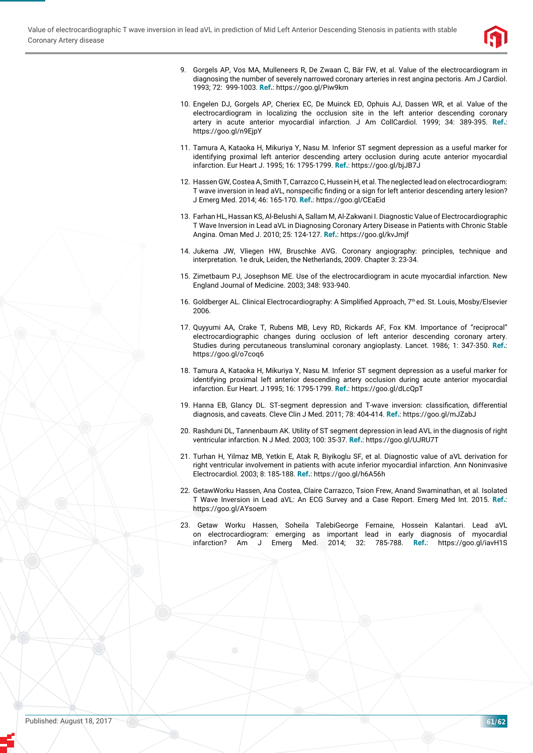

- 9. Gorgels AP, Vos MA, Mulleneers R, De Zwaan C, Bär FW, et al. Value of the electrocardiogram in diagnosing the number of severely narrowed coronary arteries in rest angina pectoris. Am J Cardiol. 1993; 72: 999-1003. **Ref.**: https://goo.gl/Piw9km
- 10. Engelen DJ, Gorgels AP, Cheriex EC, De Muinck ED, Ophuis AJ, Dassen WR, et al. Value of the electrocardiogram in localizing the occlusion site in the left anterior descending coronary artery in acute anterior myocardial infarction. J Am CollCardiol. 1999; 34: 389-395. **Ref.**: https://goo.gl/n9EjpY
- 11. Tamura A, Kataoka H, Mikuriya Y, Nasu M. Inferior ST segment depression as a useful marker for identifying proximal left anterior descending artery occlusion during acute anterior myocardial infarction. Eur Heart J. 1995; 16: 1795-1799. **Ref.**: https://goo.gl/bjJB7J
- 12. Hassen GW, Costea A, Smith T, Carrazco C, Hussein H, et al. The neglected lead on electrocardiogram: T wave inversion in lead aVL, nonspecific finding or a sign for left anterior descending artery lesion? J Emerg Med. 2014; 46: 165-170. **Ref.**: https://goo.gl/CEaEid
- 13. Farhan HL, Hassan KS, Al-Belushi A, Sallam M, Al-Zakwani I. Diagnostic Value of Electrocardiographic T Wave Inversion in Lead aVL in Diagnosing Coronary Artery Disease in Patients with Chronic Stable Angina. Oman Med J. 2010; 25: 124-127. **Ref.**: https://goo.gl/kvJmjf
- 14. Jukema JW, Vliegen HW, Bruschke AVG. Coronary angiography: principles, technique and interpretation. 1e druk, Leiden, the Netherlands, 2009. Chapter 3: 23-34.
- 15. Zimetbaum PJ, Josephson ME. Use of the electrocardiogram in acute myocardial infarction. New England Journal of Medicine. 2003; 348: 933-940.
- 16. Goldberger AL. Clinical Electrocardiography: A Simplified Approach, 7th ed. St. Louis, Mosby/Elsevier 2006.
- 17. Quyyumi AA, Crake T, Rubens MB, Levy RD, Rickards AF, Fox KM. Importance of "reciprocal" electrocardiographic changes during occlusion of left anterior descending coronary artery. Studies during percutaneous transluminal coronary angioplasty. Lancet. 1986; 1: 347-350. **Ref.**: https://goo.gl/o7coq6
- 18. Tamura A, Kataoka H, Mikuriya Y, Nasu M. Inferior ST segment depression as a useful marker for identifying proximal left anterior descending artery occlusion during acute anterior myocardial infarction. Eur Heart. J 1995; 16: 1795-1799. **Ref.**: https://goo.gl/dLcQpT
- 19. Hanna EB, Glancy DL. ST-segment depression and T-wave inversion: classification, differential diagnosis, and caveats. Cleve Clin J Med. 2011; 78: 404-414. **Ref.**: https://goo.gl/mJZabJ
- 20. Rashduni DL, Tannenbaum AK. Utility of ST segment depression in lead AVL in the diagnosis of right ventricular infarction. N J Med. 2003; 100: 35-37. **Ref.**: https://goo.gl/UJRU7T
- 21. Turhan H, Yilmaz MB, Yetkin E, Atak R, Biyikoglu SF, et al. Diagnostic value of aVL derivation for right ventricular involvement in patients with acute inferior myocardial infarction. Ann Noninvasive Electrocardiol. 2003; 8: 185-188. **Ref.**: https://goo.gl/h6A56h
- 22. GetawWorku Hassen, Ana Costea, Claire Carrazco, Tsion Frew, Anand Swaminathan, et al. Isolated T Wave Inversion in Lead aVL: An ECG Survey and a Case Report. Emerg Med Int. 2015. **Ref.**: https://goo.gl/AYsoem
- 23. Getaw Worku Hassen, Soheila TalebiGeorge Fernaine, Hossein Kalantari. Lead aVL on electrocardiogram: emerging as important lead in early diagnosis of myocardial infarction? Am J Emerg Med. 2014; 32: 785-788. **Ref.**: https://goo.gl/iavH1S